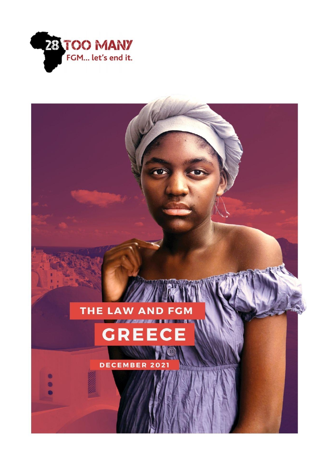

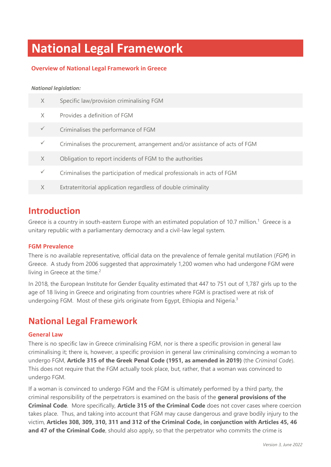# **National Legal Framework**

### **Overview of National Legal Framework in Greece**

#### *National legislation:*

| X            | Specific law/provision criminalising FGM                                   |
|--------------|----------------------------------------------------------------------------|
| X            | Provides a definition of FGM                                               |
| $\checkmark$ | Criminalises the performance of FGM                                        |
| $\checkmark$ | Criminalises the procurement, arrangement and/or assistance of acts of FGM |
| X            | Obligation to report incidents of FGM to the authorities                   |
| $\checkmark$ | Criminalises the participation of medical professionals in acts of FGM     |
| X            | Extraterritorial application regardless of double criminality              |
|              |                                                                            |

## **Introduction**

Greece is a country in south-eastern Europe with an estimated population of 10.7 million.<sup>1</sup> Greece is a unitary republic with a parliamentary democracy and a civil-law legal system.

### **FGM Prevalence**

There is no available representative, official data on the prevalence of female genital mutilation (*FGM*) in Greece. A study from 2006 suggested that approximately 1,200 women who had undergone FGM were living in Greece at the time. 2

In 2018, the European Institute for Gender Equality estimated that 447 to 751 out of 1,787 girls up to the age of 18 living in Greece and originating from countries where FGM is practised were at risk of undergoing FGM. Most of these girls originate from Egypt, Ethiopia and Nigeria.<sup>3</sup>

## **National Legal Framework**

### **General Law**

There is no specific law in Greece criminalising FGM, nor is there a specific provision in general law criminalising it; there is, however, a specific provision in general law criminalising convincing a woman to undergo FGM, **Article 315 of the Greek Penal Code (1951, as amended in 2019)** (the *Criminal Code*). This does not require that the FGM actually took place, but, rather, that a woman was convinced to undergo FGM.

If a woman is convinced to undergo FGM and the FGM is ultimately performed by a third party, the criminal responsibility of the perpetrators is examined on the basis of the **general provisions of the Criminal Code**. More specifically, **Article 315 of the Criminal Code** does not cover cases where coercion takes place. Thus, and taking into account that FGM may cause dangerous and grave bodily injury to the victim, **Articles 308, 309, 310, 311 and 312 of the Criminal Code, in conjunction with Articles 45, 46 and 47 of the Criminal Code**, should also apply, so that the perpetrator who commits the crime is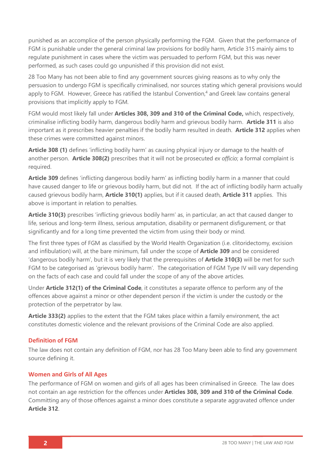punished as an accomplice of the person physically performing the FGM. Given that the performance of FGM is punishable under the general criminal law provisions for bodily harm, Article 315 mainly aims to regulate punishment in cases where the victim was persuaded to perform FGM, but this was never performed, as such cases could go unpunished if this provision did not exist.

28 Too Many has not been able to find any government sources giving reasons as to why only the persuasion to undergo FGM is specifically criminalised, nor sources stating which general provisions would apply to FGM. However, Greece has ratified the Istanbul Convention,<sup>4</sup> and Greek law contains general provisions that implicitly apply to FGM.

FGM would most likely fall under **Articles 308, 309 and 310 of the Criminal Code,** which, respectively, criminalise inflicting bodily harm, dangerous bodily harm and grievous bodily harm. **Article 311** is also important as it prescribes heavier penalties if the bodily harm resulted in death. **Article 312** applies when these crimes were committed against minors.

**Article 308 (1)** defines 'inflicting bodily harm' as causing physical injury or damage to the health of another person. **Article 308(2)** prescribes that it will not be prosecuted *ex officio*; a formal complaint is required.

**Article 309** defines 'inflicting dangerous bodily harm' as inflicting bodily harm in a manner that could have caused danger to life or grievous bodily harm, but did not. If the act of inflicting bodily harm actually caused grievous bodily harm, **Article 310(1)** applies, but if it caused death, **Article 311** applies. This above is important in relation to penalties.

**Article 310(3)** prescribes 'inflicting grievous bodily harm' as, in particular, an act that caused danger to life, serious and long-term illness, serious amputation, disability or permanent disfigurement, or that significantly and for a long time prevented the victim from using their body or mind.

The first three types of FGM as classified by the World Health Organization (i.e. clitoridectomy, excision and infibulation) will, at the bare minimum, fall under the scope of **Article 309** and be considered 'dangerous bodily harm', but it is very likely that the prerequisites of **Article 310(3)** will be met for such FGM to be categorised as 'grievous bodily harm'. The categorisation of FGM Type IV will vary depending on the facts of each case and could fall under the scope of any of the above articles.

Under **Article 312(1) of the Criminal Code**, it constitutes a separate offence to perform any of the offences above against a minor or other dependent person if the victim is under the custody or the protection of the perpetrator by law.

**Article 333(2)** applies tο the extent that the FGM takes place within a family environment, the act constitutes domestic violence and the relevant provisions of the Criminal Code are also applied.

### **Definition of FGM**

The law does not contain any definition of FGM, nor has 28 Too Many been able to find any government source defining it.

### **Women and Girls of All Ages**

The performance of FGM on women and girls of all ages has been criminalised in Greece. The law does not contain an age restriction for the offences under **Articles 308, 309 and 310 of the Criminal Code**. Committing any of those offences against a minor does constitute a separate aggravated offence under **Article 312**.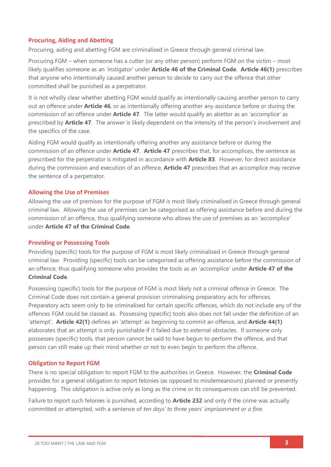### **Procuring, Aiding and Abetting**

Procuring, aiding and abetting FGM are criminalised in Greece through general criminal law.

Procuring FGM – when someone has a cutter (or any other person) perform FGM on the victim – most likely qualifies someone as an 'instigator' under **Article 46 of the Criminal Code**. **Article 46(1)** prescribes that anyone who intentionally caused another person to decide to carry out the offence that other committed shall be punished as a perpetrator.

It is not wholly clear whether abetting FGM would qualify as intentionally causing another person to carry out an offence under **Article 46**, or as intentionally offering another any assistance before or during the commission of an offence under **Article 47**. The latter would qualify an abettor as an 'accomplice' as prescribed by **Article 47**. The answer is likely dependent on the intensity of the person's involvement and the specifics of the case.

Aiding FGM would qualify as intentionally offering another any assistance before or during the commission of an offence under **Article 47**. **Article 47** prescribes that, for accomplices, the sentence as prescribed for the perpetrator is mitigated in accordance with **Article 83**. However, for direct assistance during the commission and execution of an offence, **Article 47** prescribes that an accomplice may receive the sentence of a perpetrator.

### **Allowing the Use of Premises**

Allowing the use of premises for the purpose of FGM is most likely criminalised in Greece through general criminal law. Allowing the use of premises can be categorised as offering assistance before and during the commission of an offence, thus qualifying someone who allows the use of premises as an 'accomplice' under **Article 47 of the Criminal Code**.

### **Providing or Possessing Tools**

Providing (specific) tools for the purpose of FGM is most likely criminalised in Greece through general criminal law. Providing (specific) tools can be categorised as offering assistance before the commission of an offence, thus qualifying someone who provides the tools as an 'accomplice' under **Article 47 of the Criminal Code**.

Possessing (specific) tools for the purpose of FGM is most likely not a criminal offence in Greece. The Criminal Code does not contain a general provision criminalising preparatory acts for offences. Preparatory acts seem only to be criminalised for certain specific offences, which do not include any of the offences FGM could be classed as. Possessing (specific) tools also does not fall under the definition of an 'attempt'. **Article 42(1)** defines an 'attempt' as beginning to commit an offence, and **Article 44(1)**  elaborates that an attempt is only punishable if it failed due to external obstacles. If someone only possesses (specific) tools, that person cannot be said to have begun to perform the offence, and that person can still make up their mind whether or not to even begin to perform the offence.

### **Obligation to Report FGM**

There is no special obligation to report FGM to the authorities in Greece. However, the **Criminal Code** provides for a general obligation to report felonies (as opposed to misdemeanours) planned or presently happening. This obligation is active only as long as the crime or its consequences can still be prevented.

Failure to report such felonies is punished, according to **Article 232** and only if the crime was actually committed or attempted, with a sentence of *ten days' to three years' imprisonment or a fine*.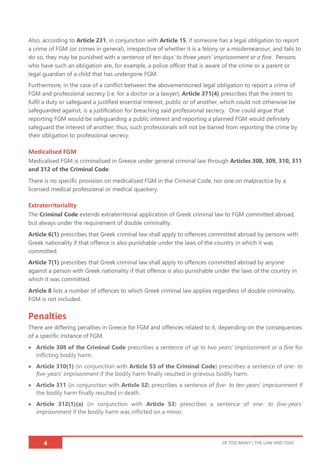Also, according to **Article 231**, in conjunction with **Article 15**, if someone has a legal obligation to report a crime of FGM (or crimes in general), irrespective of whether it is a felony or a misdemeanour, and fails to do so, they may be punished with a sentence of *ten days' to three years' imprisonment or a fine*. Persons who have such an obligation are, for example, a police officer that is aware of the crime or a parent or legal guardian of a child that has undergone FGM.

Furthermore, in the case of a conflict between the abovementioned legal obligation to report a crime of FGM and professional secrecy (i.e. for a doctor or a lawyer), **Article 371(4)** prescribes that the intent to fulfil a duty or safeguard a justified essential interest, public or of another, which could not otherwise be safeguarded against, is a justification for breaching said professional secrecy. One could argue that reporting FGM would be safeguarding a public interest and reporting a planned FGM would definitely safeguard the interest of another; thus, such professionals will not be barred from reporting the crime by their obligation to professional secrecy.

### **Medicalised FGM**

Medicalised FGM is criminalised in Greece under general criminal law through **Articles 308, 309, 310, 311 and 312 of the Criminal Code**.

There is no specific provision on medicalised FGM in the Criminal Code, nor one on malpractice by a licensed medical professional or medical quackery.

### **Extraterritoriality**

The **Criminal Code** extends extraterritorial application of Greek criminal law to FGM committed abroad, but always under the requirement of double criminality.

**Article 6(1)** prescribes that Greek criminal law shall apply to offences committed abroad by persons with Greek nationality if that offence is also punishable under the laws of the country in which it was committed.

**Article 7(1)** prescribes that Greek criminal law shall apply to offences committed abroad by anyone against a person with Greek nationality if that offence is also punishable under the laws of the country in which it was committed.

**Article 8** lists a number of offences to which Greek criminal law applies regardless of double criminality. FGM is not included.

### **Penalties**

There are differing penalties in Greece for FGM and offences related to it, depending on the consequences of a specific instance of FGM.

- **Article 308 of the Criminal Code** prescribes a sentence of *up to two years' imprisonment or a fine* for inflicting bodily harm.
- **Article 310(1)** (in conjunction with **Article 53 of the Criminal Code**) prescribes a sentence of *one- to five-years' imprisonment* if the bodily harm finally resulted in grievous bodily harm.
- **Article 311** (in conjunction with **Article 52**) prescribes a sentence of *five- to ten-years' imprisonment* if the bodily harm finally resulted in death.
- **Article 312(1)(a)** (in conjunction with **Article 53**) prescribes a sentence of *one- to five-years' imprisonment* if the bodily harm was inflicted on a minor.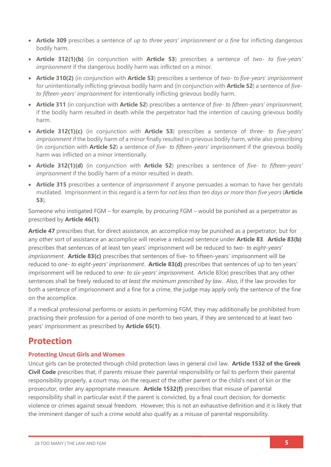- **Article 309** prescribes a sentence of *up to three years' imprisonment or a fine* for inflicting dangerous bodily harm.
- **Article 312(1)(b)** (in conjunction with **Article 53**) prescribes a sentence of *two- to five-years' imprisonment* if the dangerous bodily harm was inflicted on a minor.
- **Article 310(2)** (in conjunction with **Article 53**) prescribes a sentence of *two- to five-years' imprisonment* for unintentionally inflicting grievous bodily harm and (in conjunction with **Article 52**) a sentence of *fiveto fifteen-years' imprisonment* for intentionally inflicting grievous bodily harm.
- **Article 311** (in conjunction with **Article 52**) prescribes a sentence of *five- to fifteen-years' imprisonment*, if the bodily harm resulted in death while the perpetrator had the intention of causing grievous bodily harm.
- **Article 312(1)(c)** (in conjunction with **Article 53**) prescribes a sentence of *three- to five-years' imprisonment* if the bodily harm of a minor finally resulted in grievous bodily harm, while also prescribing (in conjunction with **Article 52**) a sentence of *five- to fifteen-years' imprisonment* if the grievous bodily harm was inflicted on a minor intentionally.
- **Article 312(1)(d)** (in conjunction with **Article 52**) prescribes a sentence of *five- to fifteen-years' imprisonment* if the bodily harm of a minor resulted in death.
- **Article 315** prescribes a sentence of *imprisonment* if anyone persuades a woman to have her genitals mutilated. Imprisonment in this regard is a term for *not less than ten days or more than five years* (**Article 53**).

Someone who instigated FGM – for example, by procuring FGM – would be punished as a perpetrator as prescribed by **Article 46(1)**.

**Article 47** prescribes that, for direct assistance, an accomplice may be punished as a perpetrator, but for any other sort of assistance an accomplice will receive a reduced sentence under **Article 83**. **Article 83(b)** prescribes that sentences of at least ten years' imprisonment will be reduced to *two- to eight-years' imprisonment*. **Article 83(c)** prescribes that sentences of five- to fifteen-years' imprisonment will be reduced to *one- to eight-years' imprisonment*. **Article 83(d)** prescribes that sentences of up to ten years' imprisonment will be reduced to *one- to six-years' imprisonment*. Article 83(e) prescribes that any other sentences shall be freely reduced to *at least the minimum prescribed by law*. Also, if the law provides for both a sentence of imprisonment and a fine for a crime, the judge may apply only the sentence of the fine on the accomplice.

If a medical professional performs or assists in performing FGM, they may additionally be prohibited from practising their profession for a period of one month to two years, if they are sentenced to at least two years' imprisonment as prescribed by **Article 65(1)**.

## **Protection**

### **Protecting Uncut Girls and Women**

Uncut girls can be protected through child protection laws in general civil law. **Article 1532 of the Greek Civil Code** prescribes that, if parents misuse their parental responsibility or fail to perform their parental responsibility properly, a court may, on the request of the other parent or the child's next of kin or the prosecutor, order any appropriate measure. **Article 1532(f)** prescribes that misuse of parental responsibility shall in particular exist if the parent is convicted, by a final court decision, for domestic violence or crimes against sexual freedom. However, this is not an exhaustive definition and it is likely that the imminent danger of such a crime would also qualify as a misuse of parental responsibility.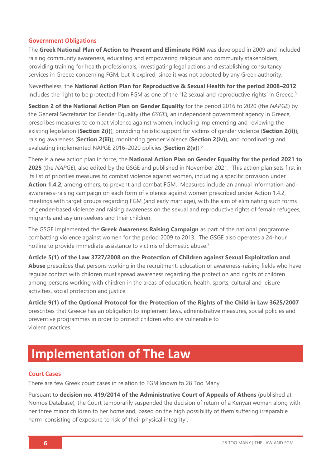### **Government Obligations**

The **Greek National Plan of Action to Prevent and Eliminate FGM** was developed in 2009 and included raising community awareness, educating and empowering religious and community stakeholders, providing training for health professionals, investigating legal actions and establishing consultancy services in Greece concerning FGM, but it expired, since it was not adopted by any Greek authority.

Nevertheless, the **National Action Plan for Reproductive & Sexual Health for the period 2008–2012**  includes the right to be protected from FGM as one of the '12 sexual and reproductive rights' in Greece.<sup>5</sup>

**Section 2 of the National Action Plan on Gender Equality** for the period 2016 to 2020 (the *NAPGE*) by the General Secretariat for Gender Equality (the *GSGE*), an independent government agency in Greece, prescribes measures to combat violence against women, including implementing and reviewing the existing legislation (**Section 2(i)**), providing holistic support for victims of gender violence (**Section 2(ii)**), raising awareness (**Section 2(iii)**), monitoring gender violence (**Section 2(iv)**), and coordinating and evaluating implemented NAPGE 2016–2020 policies (**Section 2(v)**). 6

There is a new action plan in force, the **National Action Plan on Gender Equality for the period 2021 to 2025** (the *NAPGE*), also edited by the GSGE and published in November 2021. This action plan sets first in its list of priorities measures to combat violence against women, including a specific provision under **Action 1.4.2**, among others, to prevent and combat FGM. Measures include an annual information-andawareness-raising campaign on each form of violence against women prescribed under Action 1.4.2, meetings with target groups regarding FGM (and early marriage), with the aim of eliminating such forms of gender-based violence and raising awareness on the sexual and reproductive rights of female refugees, migrants and asylum-seekers and their children.

The GSGE implemented the **Greek Awareness Raising Campaign** as part of the national programme combatting violence against women for the period 2009 to 2013. The GSGE also operates a 24-hour hotline to provide immediate assistance to victims of domestic abuse.<sup>7</sup>

**Article 5(1) of the Law 3727/2008 on the Protection of Children against Sexual Exploitation and Abuse** prescribes that persons working in the recruitment, education or awareness-raising fields who have regular contact with children must spread awareness regarding the protection and rights of children among persons working with children in the areas of education, health, sports, cultural and leisure activities, social protection and justice.

**Article 9(1) of the Optional Protocol for the Protection of the Rights of the Child in Law 3625/2007**  prescribes that Greece has an obligation to implement laws, administrative measures, social policies and preventive programmes in order to protect children who are vulnerable to violent practices.

# **Implementation of The Law**

### **Court Cases**

There are few Greek court cases in relation to FGM known to 28 Too Many

Pursuant to **decision no. 419/2014 of the Administrative Court of Appeals of Athens** (published at Nomos Database), the Court temporarily suspended the decision of return of a Kenyan woman along with her three minor children to her homeland, based on the high possibility of them suffering irreparable harm 'consisting of exposure to risk of their physical integrity'.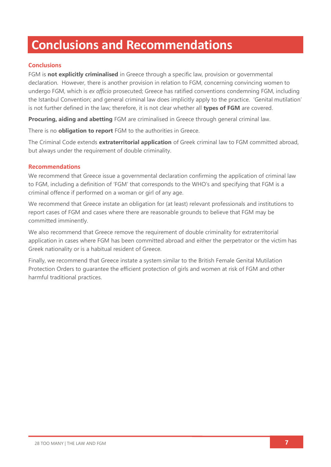# **Conclusions and Recommendations**

### **Conclusions**

FGM is **not explicitly criminalised** in Greece through a specific law, provision or governmental declaration. However, there is another provision in relation to FGM, concerning convincing women to undergo FGM, which is *ex officio* prosecuted; Greece has ratified conventions condemning FGM, including the Istanbul Convention; and general criminal law does implicitly apply to the practice. 'Genital mutilation' is not further defined in the law; therefore, it is not clear whether all **types of FGM** are covered.

**Procuring, aiding and abetting** FGM are criminalised in Greece through general criminal law.

There is no **obligation to report** FGM to the authorities in Greece.

The Criminal Code extends **extraterritorial application** of Greek criminal law to FGM committed abroad, but always under the requirement of double criminality.

### **Recommendations**

We recommend that Greece issue a governmental declaration confirming the application of criminal law to FGM, including a definition of 'FGM' that corresponds to the WHO's and specifying that FGM is a criminal offence if performed on a woman or girl of any age.

We recommend that Greece instate an obligation for (at least) relevant professionals and institutions to report cases of FGM and cases where there are reasonable grounds to believe that FGM may be committed imminently.

We also recommend that Greece remove the requirement of double criminality for extraterritorial application in cases where FGM has been committed abroad and either the perpetrator or the victim has Greek nationality or is a habitual resident of Greece.

Finally, we recommend that Greece instate a system similar to the British Female Genital Mutilation Protection Orders to guarantee the efficient protection of girls and women at risk of FGM and other harmful traditional practices.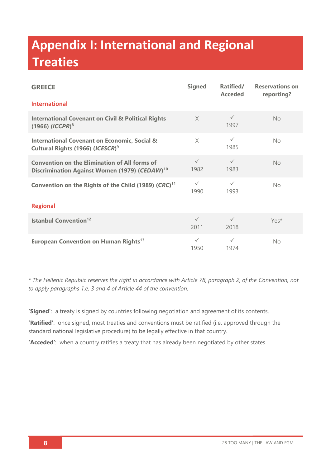# **Appendix I: International and Regional Treaties**

| <b>GREECE</b>                                                                                                     | <b>Signed</b>        | Ratified/<br><b>Acceded</b> | <b>Reservations on</b><br>reporting? |  |  |
|-------------------------------------------------------------------------------------------------------------------|----------------------|-----------------------------|--------------------------------------|--|--|
| <b>International</b>                                                                                              |                      |                             |                                      |  |  |
| <b>International Covenant on Civil &amp; Political Rights</b><br>$(1966)$ $(ICCPR)^8$                             | $\times$             | $\checkmark$<br>1997        | No                                   |  |  |
| <b>International Covenant on Economic, Social &amp;</b><br>Cultural Rights (1966) (ICESCR) <sup>9</sup>           | $\times$             | $\checkmark$<br>1985        | No                                   |  |  |
| <b>Convention on the Elimination of All forms of</b><br>Discrimination Against Women (1979) (CEDAW) <sup>10</sup> | $\checkmark$<br>1982 | $\checkmark$<br>1983        | No                                   |  |  |
| Convention on the Rights of the Child (1989) (CRC) <sup>11</sup>                                                  | $\checkmark$<br>1990 | $\checkmark$<br>1993        | No                                   |  |  |
| <b>Regional</b>                                                                                                   |                      |                             |                                      |  |  |
| <b>Istanbul Convention</b> <sup>12</sup>                                                                          | $\checkmark$<br>2011 | $\checkmark$<br>2018        | Yes*                                 |  |  |
| European Convention on Human Rights <sup>13</sup>                                                                 | $\checkmark$<br>1950 | $\checkmark$<br>1974        | No                                   |  |  |

*\* The Hellenic Republic reserves the right in accordance with Article 78, paragraph 2, of the Convention, not to apply paragraphs 1.e, 3 and 4 of Article 44 of the convention.*

**'Signed'**: a treaty is signed by countries following negotiation and agreement of its contents.

**'Ratified'**: once signed, most treaties and conventions must be ratified (i.e. approved through the standard national legislative procedure) to be legally effective in that country.

**'Acceded'**: when a country ratifies a treaty that has already been negotiated by other states.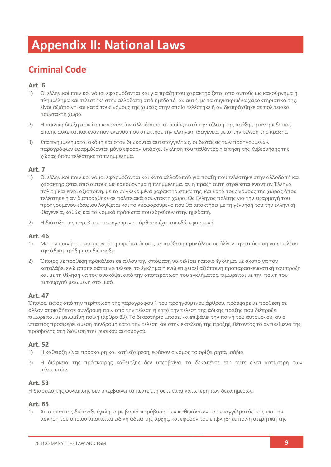# **Appendix II: National Laws**

## **Criminal Code**

### **Art. 6**

- 1) Οι ελληνικοί ποινικοί νόμοι εφαρμόζονται και για πράξη που χαρακτηρίζεται από αυτούς ως κακούργημα ή πλημμέλημα και τελέστηκε στην αλλοδαπή από ημεδαπό, αν αυτή, με τα συγκεκριμένα χαρακτηριστικά της, είναι αξιόποινη και κατά τους νόμους της χώρας στην οποία τελέστηκε ή αν διαπράχθηκε σε πολιτειακά ασύντακτη χώρα.
- 2) Η ποινική δίωξη ασκείται και εναντίον αλλοδαπού, ο οποίος κατά την τέλεση της πράξης ήταν ημεδαπός. Επίσης ασκείται και εναντίον εκείνου που απέκτησε την ελληνική ιθαγένεια μετά την τέλεση της πράξης.
- 3) Στα πλημμελήματα, ακόμη και όταν διώκονται αυτεπαγγέλτως, οι διατάξεις των προηγούμενων παραγράφων εφαρμόζονται μόνο εφόσον υπάρχει έγκληση του παθόντος ή αίτηση της Κυβέρνησης της χώρας όπου τελέστηκε το πλημμέλημα.

### **Art. 7**

- 1) Οι ελληνικοί ποινικοί νόμοι εφαρμόζονται και κατά αλλοδαπού για πράξη που τελέστηκε στην αλλοδαπή και χαρακτηρίζεται από αυτούς ως κακούργημα ή πλημμέλημα, αν η πράξη αυτή στρέφεται εναντίον Έλληνα πολίτη και είναι αξιόποινη, με τα συγκεκριμένα χαρακτηριστικά της, και κατά τους νόμους της χώρας όπου τελέστηκε ή αν διαπράχθηκε σε πολιτειακά ασύντακτη χώρα. Ως Έλληνας πολίτης για την εφαρμογή του προηγούμενου εδαφίου λογίζεται και το κυοφορούμενο που θα αποκτήσει με τη γέννησή του την ελληνική ιθαγένεια, καθώς και τα νομικά πρόσωπα που εδρεύουν στην ημεδαπή.
- 2) Η διάταξη της παρ. 3 του προηγούμενου άρθρου έχει και εδώ εφαρμογή.

### **Art. 46**

- 1) Με την ποινή του αυτουργού τιμωρείται όποιος με πρόθεση προκάλεσε σε άλλον την απόφαση να εκτελέσει την άδικη πράξη που διέπραξε.
- 2) Όποιος με πρόθεση προκάλεσε σε άλλον την απόφαση να τελέσει κάποιο έγκλημα, με σκοπό να τον καταλάβει ενώ αποπειράται να τελέσει το έγκλημα ή ενώ επιχειρεί αξιόποινη προπαρασκευαστική του πράξη και με τη θέληση να τον ανακόψει από την αποπεράτωση του εγκλήματος, τιμωρείται με την ποινή του αυτουργού μειωμένη στο μισό.

### **Art. 47**

Όποιος, εκτός από την περίπτωση της παραγράφου 1 του προηγούμενου άρθρου, πρόσφερε με πρόθεση σε άλλον οποιαδήποτε συνδρομή πριν από την τέλεση ή κατά την τέλεση της άδικης πράξης που διέπραξε, τιμωρείται με μειωμένη ποινή (άρθρο 83). Το δικαστήριο μπορεί να επιβάλει την ποινή του αυτουργού, αν ο υπαίτιος προσφέρει άμεση συνδρομή κατά την τέλεση και στην εκτέλεση της πράξης, θέτοντας το αντικείμενο της προσβολής στη διάθεση του φυσικού αυτουργού.

### **Art. 52**

- 1) Η κάθειρξη είναι πρόσκαιρη και κατ' εξαίρεση, εφόσον ο νόμος το ορίζει ρητά, ισόβια.
- 2) Η διάρκεια της πρόσκαιρης κάθειρξης δεν υπερβαίνει τα δεκαπέντε έτη ούτε είναι κατώτερη των πέντε ετών.

### **Art. 53**

Η διάρκεια της φυλάκισης δεν υπερβαίνει τα πέντε έτη ούτε είναι κατώτερη των δέκα ημερών.

### **Art. 65**

1) Αν ο υπαίτιος διέπραξε έγκλημα με βαριά παράβαση των καθηκόντων του επαγγέλματός του, για την άσκηση του οποίου απαιτείται ειδική άδεια της αρχής, και εφόσον του επιβλήθηκε ποινή στερητική της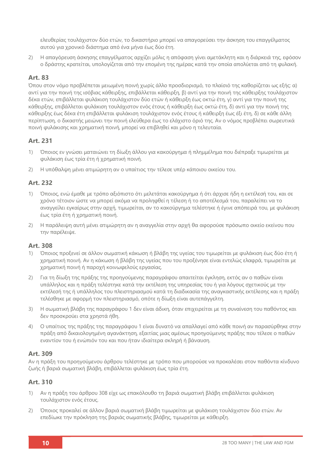ελευθερίας τουλάχιστον δύο ετών, το δικαστήριο μπορεί να απαγορεύσει την άσκηση του επαγγέλματος αυτού για χρονικό διάστημα από ένα μήνα έως δύο έτη.

2) Η απαγόρευση άσκησης επαγγέλματος αρχίζει μόλις η απόφαση γίνει αμετάκλητη και η διάρκειά της, εφόσον ο δράστης κρατείται, υπολογίζεται από την επομένη της ημέρας κατά την οποία απολύεται από τη φυλακή.

### **Art. 83**

Όπου στον νόμο προβλέπεται μειωμένη ποινή χωρίς άλλο προσδιορισμό, το πλαίσιό της καθορίζεται ως εξής: α) αντί για την ποινή της ισόβιας κάθειρξης, επιβάλλεται κάθειρξη, β) αντί για την ποινή της κάθειρξης τουλάχιστον δέκα ετών, επιβάλλεται φυλάκιση τουλάχιστον δύο ετών ή κάθειρξη έως οκτώ έτη, γ) αντί για την ποινή της κάθειρξης, επιβάλλεται φυλάκιση τουλάχιστον ενός έτους ή κάθειρξη έως οκτώ έτη, δ) αντί για την ποινή της κάθειρξης έως δέκα έτη επιβάλλεται φυλάκιση τουλάχιστον ενός έτους ή κάθειρξη έως έξι έτη, δ) σε κάθε άλλη περίπτωση, ο δικαστής μειώνει την ποινή ελεύθερα έως το ελάχιστο όριό της. Αν ο νόμος προβλέπει σωρευτικά ποινή φυλάκισης και χρηματική ποινή, μπορεί να επιβληθεί και μόνο η τελευταία.

### **Art. 231**

- 1) Όποιος εν γνώσει ματαιώνει τη δίωξη άλλου για κακούργημα ή πλημμέλημα που διέπραξε τιμωρείται με φυλάκιση έως τρία έτη ή χρηματική ποινή.
- 2) Η υπόθαλψη μένει ατιμώρητη αν ο υπαίτιος την τέλεσε υπέρ κάποιου οικείου του.

### **Art. 232**

- 1) Όποιος, ενώ έμαθε με τρόπο αξιόπιστο ότι μελετάται κακούργημα ή ότι άρχισε ήδη η εκτέλεσή του, και σε χρόνο τέτοιον ώστε να μπορεί ακόμα να προληφθεί η τέλεση ή το αποτέλεσμά του, παραλείπει να το αναγγείλει εγκαίρως στην αρχή, τιμωρείται, αν το κακούργημα τελέστηκε ή έγινε απόπειρά του, με φυλάκιση έως τρία έτη ή χρηματική ποινή.
- 2) Η παράλειψη αυτή μένει ατιμώρητη αν η αναγγελία στην αρχή θα αφορούσε πρόσωπο οικείο εκείνου που την παρέλειψε.

### **Art. 308**

- 1) Όποιος προξενεί σε άλλον σωματική κάκωση ή βλάβη της υγείας του τιμωρείται με φυλάκιση έως δύο έτη ή χρηματική ποινή. Αν η κάκωση ή βλάβη της υγείας που του προξένησε είναι εντελώς ελαφρά, τιμωρείται με χρηματική ποινή ή παροχή κοινωφελούς εργασίας.
- 2) Για τη δίωξη της πράξης της προηγούμενης παραγράφου απαιτείται έγκληση, εκτός αν ο παθών είναι υπάλληλος και η πράξη τελέστηκε κατά την εκτέλεση της υπηρεσίας του ή για λόγους σχετικούς με την εκτέλεσή της ή υπάλληλος του πλειστηριασμού κατά τη διαδικασία της αναγκαστικής εκτέλεσης και η πράξη τελέσθηκε με αφορμή τον πλειστηριασμό, οπότε η δίωξη είναι αυτεπάγγελτη.
- 3) Η σωματική βλάβη της παραγράφου 1 δεν είναι άδικη, όταν επιχειρείται με τη συναίνεση του παθόντος και δεν προσκρούει στα χρηστά ήθη.
- 4) Ο υπαίτιος της πράξης της παραγράφου 1 είναι δυνατό να απαλλαγεί από κάθε ποινή αν παρασύρθηκε στην πράξη από δικαιολογημένη αγανάκτηση, εξαιτίας μιας αμέσως προηγούμενης πράξης που τέλεσε ο παθών εναντίον του ή ενώπιόν του και που ήταν ιδιαίτερα σκληρή ή βάναυση.

### **Art. 309**

Αν η πράξη του προηγούμενου άρθρου τελέστηκε με τρόπο που μπορούσε να προκαλέσει στον παθόντα κίνδυνο ζωής ή βαριά σωματική βλάβη, επιβάλλεται φυλάκιση έως τρία έτη.

### **Art. 310**

- 1) Αν η πράξη του άρθρου 308 είχε ως επακόλουθο τη βαριά σωματική βλάβη επιβάλλεται φυλάκιση τουλάχιστον ενός έτους.
- 2) Όποιος προκαλεί σε άλλον βαριά σωματική βλάβη τιμωρείται με φυλάκιση τουλάχιστον δύο ετών. Aν επεδίωκε την πρόκληση της βαριάς σωματικής βλάβης, τιμωρείται με κάθειρξη.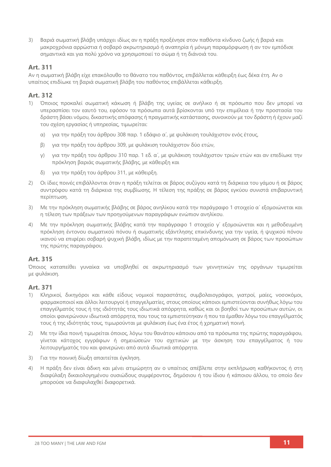3) Βαριά σωματική βλάβη υπάρχει ιδίως αν η πράξη προξένησε στον παθόντα κίνδυνο ζωής ή βαριά και μακροχρόνια αρρώστια ή σοβαρό ακρωτηριασμό ή αναπηρία ή μόνιμη παραμόρφωση ή αν τον εμπόδισε σημαντικά και για πολύ χρόνο να χρησιμοποιεί το σώμα ή τη διάνοιά του.

### **Art. 311**

Αν η σωματική βλάβη είχε επακόλουθο το θάνατο του παθόντος, επιβάλλεται κάθειρξη έως δέκα έτη. Αν ο υπαίτιος επιδίωκε τη βαριά σωματική βλάβη του παθόντος επιβάλλεται κάθειρξη.

### **Art. 312**

- 1) Όποιος προκαλεί σωματική κάκωση ή βλάβη της υγείας σε ανήλικο ή σε πρόσωπο που δεν μπορεί να υπερασπίσει τον εαυτό του, εφόσον τα πρόσωπα αυτά βρίσκονται υπό την επιμέλεια ή την προστασία του δράστη βάσει νόμου, δικαστικής απόφασης ή πραγματικής κατάστασης, συνοικούν με τον δράστη ή έχουν μαζί του σχέση εργασίας ή υπηρεσίας, τιμωρείται:
	- α) για την πράξη του άρθρου 308 παρ. 1 εδάφιο α΄, με φυλάκιση τουλάχιστον ενός έτους,
	- β) για την πράξη του άρθρου 309, με φυλάκιση τουλάχιστον δύο ετών,
	- γ) για την πράξη του άρθρου 310 παρ. 1 εδ. α΄, με φυλάκιση τουλάχιστον τριών ετών και αν επεδίωκε την πρόκληση βαριάς σωματικής βλάβης, με κάθειρξη και
	- δ) για την πράξη του άρθρου 311, με κάθειρξη.
- 2) Οι ίδιες ποινές επιβάλλονται όταν η πράξη τελείται σε βάρος συζύγου κατά τη διάρκεια του γάμου ή σε βάρος συντρόφου κατά τη διάρκεια της συμβίωσης. Η τέλεση της πράξης σε βάρος εγκύου συνιστά επιβαρυντική περίπτωση.
- 3) Με την πρόκληση σωματικής βλάβης σε βάρος ανηλίκου κατά την παράγραφο 1 στοιχείο α΄ εξομοιώνεται και η τέλεση των πράξεων των προηγούμενων παραγράφων ενώπιον ανηλίκου.
- 4) Με την πρόκληση σωματικής βλάβης κατά την παράγραφο 1 στοιχείο γ΄ εξομοιώνεται και η μεθοδευμένη πρόκληση έντονου σωματικού πόνου ή σωματικής εξάντλησης επικίνδυνης για την υγεία, ή ψυχικού πόνου ικανού να επιφέρει σοβαρή ψυχική βλάβη, ιδίως με την παρατεταμένη απομόνωση σε βάρος των προσώπων της πρώτης παραγράφου.

### **Art. 315**

Όποιος καταπείθει γυναίκα να υποβληθεί σε ακρωτηριασμό των γεννητικών της οργάνων τιμωρείται με φυλάκιση.

### **Art. 371**

- 1) Κληρικοί, δικηγόροι και κάθε είδους νομικοί παραστάτες, συμβολαιογράφοι, γιατροί, μαίες, νοσοκόμοι, φαρμακοποιοί και άλλοι λειτουργοί ή επαγγελματίες, στους οποίους κάποιοι εμπιστεύονται συνήθως λόγω του επαγγέλματός τους ή της ιδιότητάς τους ιδιωτικά απόρρητα, καθώς και οι βοηθοί των προσώπων αυτών, οι οποίοι φανερώνουν ιδιωτικά απόρρητα, που τους τα εμπιστεύτηκαν ή που τα έμαθαν λόγω του επαγγέλματός τους ή της ιδιότητάς τους, τιμωρούνται με φυλάκιση έως ένα έτος ή χρηματική ποινή.
- 2) Με την ίδια ποινή τιμωρείται όποιος, λόγω του θανάτου κάποιου από τα πρόσωπα της πρώτης παραγράφου, γίνεται κάτοχος εγγράφων ή σημειώσεών του σχετικών με την άσκηση του επαγγέλματος ή του λειτουργήματός του και φανερώνει από αυτά ιδιωτικά απόρρητα.
- 3) Για την ποινική δίωξη απαιτείται έγκληση.
- 4) Η πράξη δεν είναι άδικη και μένει ατιμώρητη αν ο υπαίτιος απέβλεπε στην εκπλήρωση καθήκοντος ή στη διαφύλαξη δικαιολογημένου ουσιώδους συμφέροντος, δημόσιου ή του ίδιου ή κάποιου άλλου, το οποίο δεν μπορούσε να διαφυλαχθεί διαφορετικά.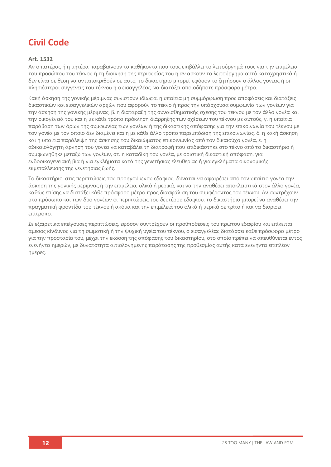## **Civil Code**

### **Art. 1532**

Αν ο πατέρας ή η μητέρα παραβαίνουν τα καθήκοντα που τους επιβάλλει το λειτούργημά τους για την επιμέλεια του προσώπου του τέκνου ή τη διοίκηση της περιουσίας του ή αν ασκούν το λειτούργημα αυτό καταχρηστικά ή δεν είναι σε θέση να ανταποκριθούν σε αυτό, το δικαστήριο μπορεί, εφόσον το ζητήσουν ο άλλος γονέας ή οι πλησιέστεροι συγγενείς του τέκνου ή ο εισαγγελέας, να διατάξει οποιοδήποτε πρόσφορο μέτρο.

Κακή άσκηση της γονικής μέριμνας συνιστούν ιδίως:α. η υπαίτια μη συμμόρφωση προς αποφάσεις και διατάξεις δικαστικών και εισαγγελικών αρχών που αφορούν το τέκνο ή προς την υπάρχουσα συμφωνία των γονέων για την άσκηση της γονικής μέριμνας, β. η διατάραξη της συναισθηματικής σχέσης του τέκνου με τον άλλο γονέα και την οικογένειά του και η με κάθε τρόπο πρόκληση διάρρηξης των σχέσεων του τέκνου με αυτούς, γ. η υπαίτια παράβαση των όρων της συμφωνίας των γονέων ή της δικαστικής απόφασης για την επικοινωνία του τέκνου με τον γονέα με τον οποίο δεν διαμένει και η με κάθε άλλο τρόπο παρεμπόδιση της επικοινωνίας, δ. η κακή άσκηση και η υπαίτια παράλειψη της άσκησης του δικαιώματος επικοινωνίας από τον δικαιούχο γονέα, ε. η αδικαιολόγητη άρνηση του γονέα να καταβάλει τη διατροφή που επιδικάστηκε στο τέκνο από το δικαστήριο ή συμφωνήθηκε μεταξύ των γονέων, στ. η καταδίκη του γονέα, με οριστική δικαστική απόφαση, για ενδοοικογενειακή βία ή για εγκλήματα κατά της γενετήσιας ελευθερίας ή για εγκλήματα οικονομικής εκμετάλλευσης της γενετήσιας ζωής.

Το δικαστήριο, στις περιπτώσεις του προηγούμενου εδαφίου, δύναται να αφαιρέσει από τον υπαίτιο γονέα την άσκηση της γονικής μέριμνας ή την επιμέλεια, ολικά ή μερικά, και να την αναθέσει αποκλειστικά στον άλλο γονέα, καθώς επίσης να διατάξει κάθε πρόσφορο μέτρο προς διασφάλιση του συμφέροντος του τέκνου. Αν συντρέχουν στο πρόσωπο και των δύο γονέων οι περιπτώσεις του δευτέρου εδαφίου, το δικαστήριο μπορεί να αναθέσει την πραγματική φροντίδα του τέκνου ή ακόμα και την επιμέλειά του ολικά ή μερικά σε τρίτο ή και να διορίσει επίτροπο.

Σε εξαιρετικά επείγουσες περιπτώσεις, εφόσον συντρέχουν οι προϋποθέσεις του πρώτου εδαφίου και επίκειται άμεσος κίνδυνος για τη σωματική ή την ψυχική υγεία του τέκνου, ο εισαγγελέας διατάσσει κάθε πρόσφορο μέτρο για την προστασία του, μέχρι την έκδοση της απόφασης του δικαστηρίου, στο οποίο πρέπει να απευθύνεται εντός ενενήντα ημερών, με δυνατότητα αιτιολογημένης παράτασης της προθεσμίας αυτής κατά ενενήντα επιπλέον ημέρες.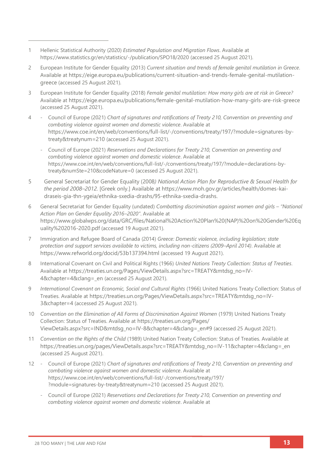- 1 Hellenic Statistical Authority (2020) *Estimated Population and Migration Flows*. Available at <https://www.statistics.gr/en/statistics/-/publication/SPO18/2020> (accessed 25 August 2021).
- 2 European Institute for Gender Equality (2013) *Current situation and trends of female genital mutilation in Greece*. Available at [https://eige.europa.eu/publications/current-situation-and-trends-female-genital-mutilation](https://eige.europa.eu/publications/current-situation-and-trends-female-genital-mutilation-greece)[greece](https://eige.europa.eu/publications/current-situation-and-trends-female-genital-mutilation-greece) (accessed 25 August 2021).
- 3 European Institute for Gender Equality (2018) *Female genital mutilation: How many girls are at risk in Greece?*  Available at <https://eige.europa.eu/publications/female-genital-mutilation-how-many-girls-are-risk-greece> (accessed 25 August 2021).
- 4 Council of Europe (2021) *Chart of signatures and ratifications of Treaty 210, Convention on preventing and combating violence against women and domestic violence*. Available at [https://www.coe.int/en/web/conventions/full-list/-/conventions/treaty/197/?module=signatures-by](https://www.coe.int/en/web/conventions/full-list/-/conventions/treaty/197/?module=signatures-by-treaty&treatynum=210)[treaty&treatynum=210](https://www.coe.int/en/web/conventions/full-list/-/conventions/treaty/197/?module=signatures-by-treaty&treatynum=210) (accessed 25 August 2021).
	- Council of Europe (2021) *Reservations and Declarations for Treaty 210, Convention on preventing and combating violence against women and domestic violence*. Available at [https://www.coe.int/en/web/conventions/full-list/-/conventions/treaty/197/?module=declarations-by](https://www.coe.int/en/web/conventions/full-list/-/conventions/treaty/197/?module=declarations-by-treaty&numSte=210&codeNature=0)[treaty&numSte=210&codeNature=0](https://www.coe.int/en/web/conventions/full-list/-/conventions/treaty/197/?module=declarations-by-treaty&numSte=210&codeNature=0) (accessed 25 August 2021).
- 5 General Secretariat for Gender Equality (2008*) National Action Plan for Reproductive & Sexual Health for the period 2008–2012.* [Greek only.] Available at [https://www.moh.gov.gr/articles/health/domes-kai](https://www.moh.gov.gr/articles/health/domes-kai-draseis-gia-thn-ygeia/ethnika-sxedia-drashs/95-ethnika-sxedia-drashs)[draseis-gia-thn-ygeia/ethnika-sxedia-drashs/95-ethnika-sxedia-drashs.](https://www.moh.gov.gr/articles/health/domes-kai-draseis-gia-thn-ygeia/ethnika-sxedia-drashs/95-ethnika-sxedia-drashs)
- 6 General Secretariat for Gender Equality (undated) *Combatting discrimination against women and girls – "National Action Plan on Gender Equality 2016–2020"*. Available at [https://www.globalwps.org/data/GRC/files/National%20Action%20Plan%20\(NAP\)%20on%20Gender%20Eq](https://www.globalwps.org/data/GRC/files/National%20Action%20Plan%20(NAP)%20on%20Gender%20Equality%202016-2020.pdf) [uality%202016-2020.pdf](https://www.globalwps.org/data/GRC/files/National%20Action%20Plan%20(NAP)%20on%20Gender%20Equality%202016-2020.pdf) (accessed 19 August 2021).
- 7 Immigration and Refugee Board of Canada (2014) *Greece: Domestic violence, including legislation; state protection and support services available to victims, including non-citizens (2009–April 2014)*. Available at <https://www.refworld.org/docid/53b137394.html> (accessed 19 August 2021).
- 8 International Covenant on Civil and Political Rights (1966) *United Nations Treaty Collection: Status of Treaties*. Available at [https://treaties.un.org/Pages/ViewDetails.aspx?src=TREATY&mtdsg\\_no=IV-](https://treaties.un.org/Pages/ViewDetails.aspx?src=TREATY&mtdsg_no=IV-4&chapter=4&clang=_en)[4&chapter=4&clang=\\_en](https://treaties.un.org/Pages/ViewDetails.aspx?src=TREATY&mtdsg_no=IV-4&chapter=4&clang=_en) (accessed 25 August 2021).
- 9 *International Covenant on Economic, Social and Cultural Rights* (1966) United Nations Treaty Collection: Status of Treaties. Available at [https://treaties.un.org/Pages/ViewDetails.aspx?src=TREATY&mtdsg\\_no=IV-](https://treaties.un.org/Pages/ViewDetails.aspx?src=TREATY&mtdsg_no=IV-3&chapter=4)[3&chapter=4](https://treaties.un.org/Pages/ViewDetails.aspx?src=TREATY&mtdsg_no=IV-3&chapter=4) (accessed 25 August 2021).
- 10 *Convention on the Elimination of All Forms of Discrimination Against Women* (1979) United Nations Treaty Collection: Status of Treaties. Available at [https://treaties.un.org/Pages/](https://treaties.un.org/Pages/ViewDetails.aspx?src=IND&mtdsg_no=IV-8&chapter=4&clang=_en#9) [ViewDetails.aspx?src=IND&mtdsg\\_no=IV-8&chapter=4&clang=\\_en#9](https://treaties.un.org/Pages/ViewDetails.aspx?src=IND&mtdsg_no=IV-8&chapter=4&clang=_en#9) (accessed 25 August 2021).
- 11 *Convention on the Rights of the Child* (1989) United Nation Treaty Collection: Status of Treaties. Available at [https://treaties.un.org/pages/ViewDetails.aspx?src=TREATY&mtdsg\\_no=IV-11&chapter=4&clang=\\_en](https://treaties.un.org/pages/ViewDetails.aspx?src=TREATY&mtdsg_no=IV-11&chapter=4&clang=_en) (accessed 25 August 2021).
- 12 Council of Europe (2021) *Chart of signatures and ratifications of Treaty 210, Convention on preventing and combating violence against women and domestic violence*. Available at [https://www.coe.int/en/web/conventions/full-list/-/conventions/treaty/197/](https://www.coe.int/en/web/conventions/full-list/-/conventions/treaty/197/?module=signatures-by-treaty&treatynum=210) [?module=signatures-by-treaty&treatynum=210](https://www.coe.int/en/web/conventions/full-list/-/conventions/treaty/197/?module=signatures-by-treaty&treatynum=210) (accessed 25 August 2021).
	- Council of Europe (2021) *Reservations and Declarations for Treaty 210, Convention on preventing and combating violence against women and domestic violence*. Available at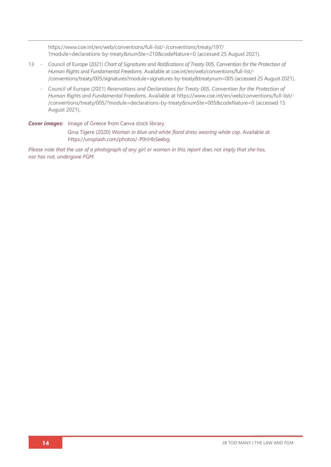[https://www.coe.int/en/web/conventions/full-list/-/conventions/treaty/197/](https://www.coe.int/en/web/conventions/full-list/-/conventions/treaty/197/?module=declarations-by-treaty&numSte=210&codeNature=0) [?module=declarations-by-treaty&numSte=210&codeNature=0](https://www.coe.int/en/web/conventions/full-list/-/conventions/treaty/197/?module=declarations-by-treaty&numSte=210&codeNature=0) (accessed 25 August 2021).

- 13 Council of Europe (2021) *Chart of Signatures and Ratifications of Treaty 005, Convention for the Protection of Human Rights and Fundamental Freedoms*. Available a[t coe.int/en/web/conventions/full-list/-](file://///System/Volumes/Data/Work%20files/28TooMany/28TM_EUReport%20Design/28TM_EUROPEReports/GREECE/coe.int/en/web/conventions/full-list/-/conventions/treaty/005/signatures%253fmodule=signatures-by-treaty&treatynum=005) [/conventions/treaty/005/signatures?module=signatures-by-treaty&treatynum=005](file://///System/Volumes/Data/Work%20files/28TooMany/28TM_EUReport%20Design/28TM_EUROPEReports/GREECE/coe.int/en/web/conventions/full-list/-/conventions/treaty/005/signatures%253fmodule=signatures-by-treaty&treatynum=005) (accessed 25 August 2021).
	- Council of Europe (2021) *Reservations and Declarations for Treaty 005, Convention for the Protection of Human Rights and Fundamental Freedoms*. Available at [https://www.coe.int/en/web/conventions/full-list/-](https://www.coe.int/en/web/conventions/full-list/-/conventions/treaty/005/?module=declarations-by-treaty&numSte=005&codeNature=0) [/conventions/treaty/005/?module=declarations-by-treaty&numSte=005&codeNature=0](https://www.coe.int/en/web/conventions/full-list/-/conventions/treaty/005/?module=declarations-by-treaty&numSte=005&codeNature=0) (accessed 15 August 2021).

### **Cover images:** Image of Greece from Canva stock library.

Gina Tigere (2020) *Woman in blue and white floral dress wearing white cap*. Available at [https://unsplash.com/photos/-P0nHbSeebg.](https://unsplash.com/photos/-P0nHbSeebg)

*Please note that the use of a photograph of any girl or woman in this report does not imply that she has, nor has not, undergone FGM.*